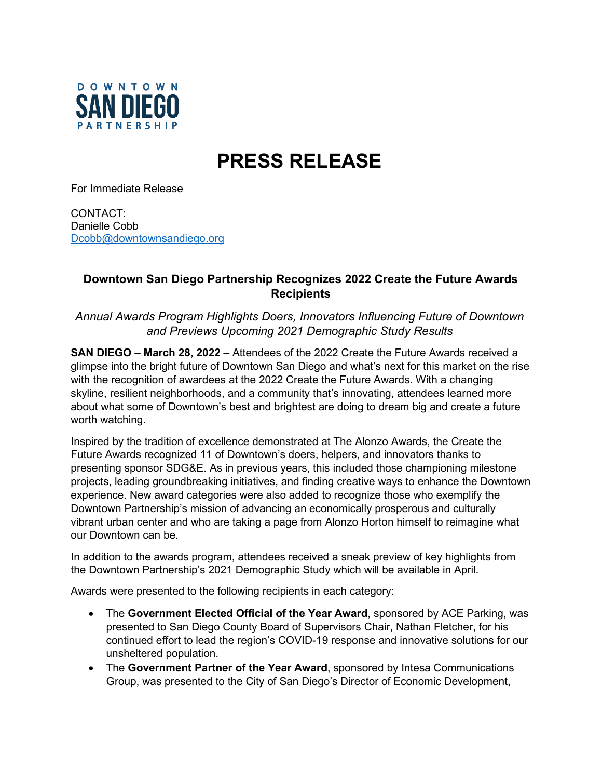

## **PRESS RELEASE**

For Immediate Release

CONTACT: Danielle Cobb [Dcobb@downtownsandiego.org](mailto:Dcobb@downtownsandiego.org)

## **Downtown San Diego Partnership Recognizes 2022 Create the Future Awards Recipients**

*Annual Awards Program Highlights Doers, Innovators Influencing Future of Downtown and Previews Upcoming 2021 Demographic Study Results*

**SAN DIEGO – March 28, 2022 –** Attendees of the 2022 Create the Future Awards received a glimpse into the bright future of Downtown San Diego and what's next for this market on the rise with the recognition of awardees at the 2022 Create the Future Awards. With a changing skyline, resilient neighborhoods, and a community that's innovating, attendees learned more about what some of Downtown's best and brightest are doing to dream big and create a future worth watching.

Inspired by the tradition of excellence demonstrated at The Alonzo Awards, the Create the Future Awards recognized 11 of Downtown's doers, helpers, and innovators thanks to presenting sponsor SDG&E. As in previous years, this included those championing milestone projects, leading groundbreaking initiatives, and finding creative ways to enhance the Downtown experience. New award categories were also added to recognize those who exemplify the Downtown Partnership's mission of advancing an economically prosperous and culturally vibrant urban center and who are taking a page from Alonzo Horton himself to reimagine what our Downtown can be.

In addition to the awards program, attendees received a sneak preview of key highlights from the Downtown Partnership's 2021 Demographic Study which will be available in April.

Awards were presented to the following recipients in each category:

- The **Government Elected Official of the Year Award**, sponsored by ACE Parking, was presented to San Diego County Board of Supervisors Chair, Nathan Fletcher, for his continued effort to lead the region's COVID-19 response and innovative solutions for our unsheltered population.
- The **Government Partner of the Year Award**, sponsored by Intesa Communications Group, was presented to the City of San Diego's Director of Economic Development,